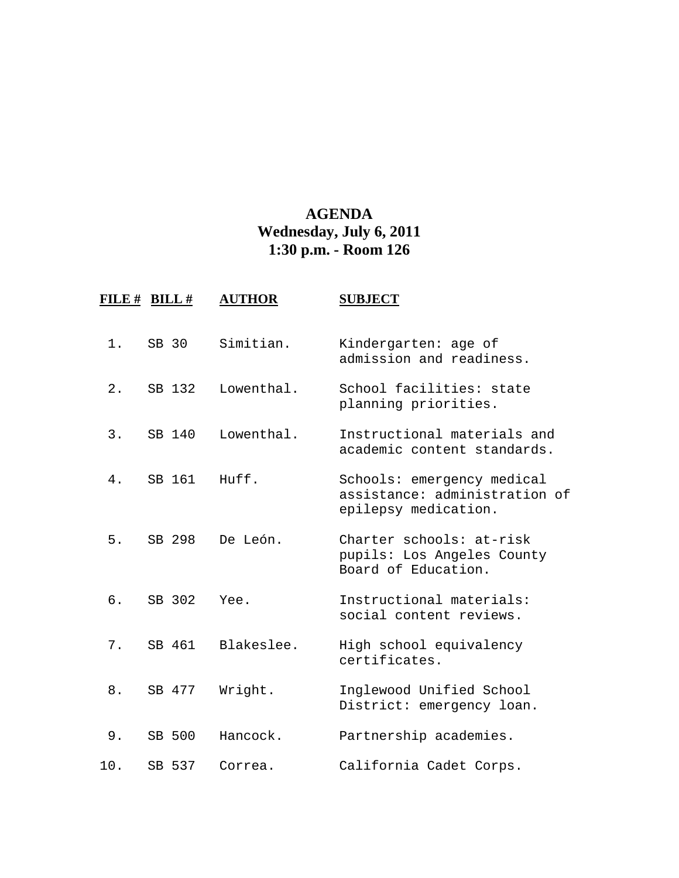## **AGENDA Wednesday, July 6, 2011 1:30 p.m. - Room 126**

| FILE # | $BILL$ # | <b>AUTHOR</b> | <b>SUBJECT</b>                                                                      |
|--------|----------|---------------|-------------------------------------------------------------------------------------|
| 1.     | SB 30    | Simitian.     | Kindergarten: age of<br>admission and readiness.                                    |
| $2$ .  | SB 132   | Lowenthal.    | School facilities: state<br>planning priorities.                                    |
| 3.     | SB 140   | Lowenthal.    | Instructional materials and<br>academic content standards.                          |
| 4.     | SB 161   | Huff.         | Schools: emergency medical<br>assistance: administration of<br>epilepsy medication. |
| 5.     | SB 298   | De León.      | Charter schools: at-risk<br>pupils: Los Angeles County<br>Board of Education.       |
| б.     | SB 302   | Yee.          | Instructional materials:<br>social content reviews.                                 |
| $7$ .  | SB 461   | Blakeslee.    | High school equivalency<br>certificates.                                            |
| 8.     | SB 477   | Wright.       | Inglewood Unified School<br>District: emergency loan.                               |
| 9.     | SB 500   | Hancock.      | Partnership academies.                                                              |
| 10.    | SB 537   | Correa.       | California Cadet Corps.                                                             |